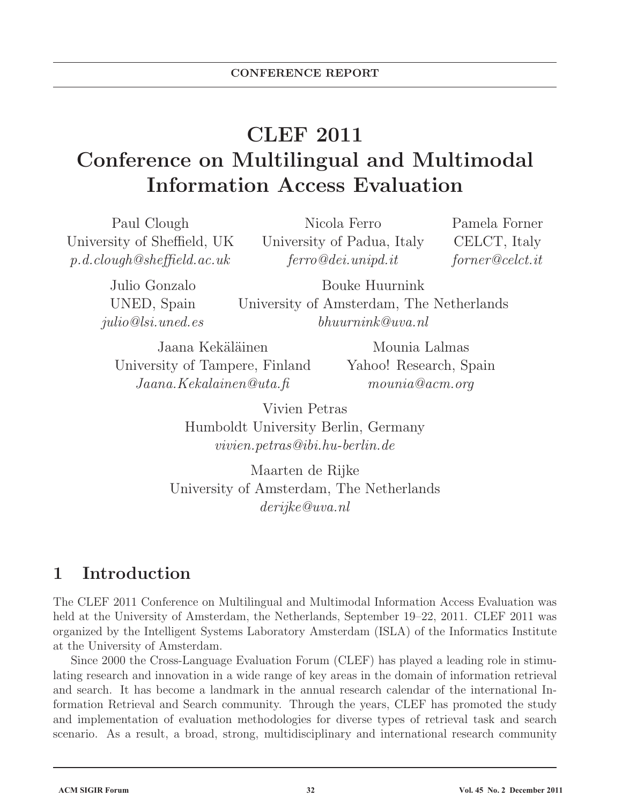# **CLEF 2011 Conference on Multilingual and Multimodal Information Access Evaluation**

Paul Clough University of Sheffield, UK p.d.clough@sheffield.ac.uk

Nicola Ferro University of Padua, Italy ferro@dei.unipd.it

Pamela Forner CELCT, Italy forner@celct.it

Julio Gonzalo UNED, Spain julio@lsi.uned.es Bouke Huurnink University of Amsterdam, The Netherlands bhuurnink@uva.nl

Jaana Kekäläinen University of Tampere, Finland Jaana.Kekalainen@uta.fi

Mounia Lalmas Yahoo! Research, Spain mounia@acm.org

Vivien Petras Humboldt University Berlin, Germany vivien.petras@ibi.hu-berlin.de

Maarten de Rijke University of Amsterdam, The Netherlands derijke@uva.nl

# **1 Introduction**

The CLEF 2011 Conference on Multilingual and Multimodal Information Access Evaluation was held at the University of Amsterdam, the Netherlands, September 19–22, 2011. CLEF 2011 was organized by the Intelligent Systems Laboratory Amsterdam (ISLA) of the Informatics Institute at the University of Amsterdam.

Since 2000 the Cross-Language Evaluation Forum (CLEF) has played a leading role in stimulating research and innovation in a wide range of key areas in the domain of information retrieval and search. It has become a landmark in the annual research calendar of the international Information Retrieval and Search community. Through the years, CLEF has promoted the study and implementation of evaluation methodologies for diverse types of retrieval task and search scenario. As a result, a broad, strong, multidisciplinary and international research community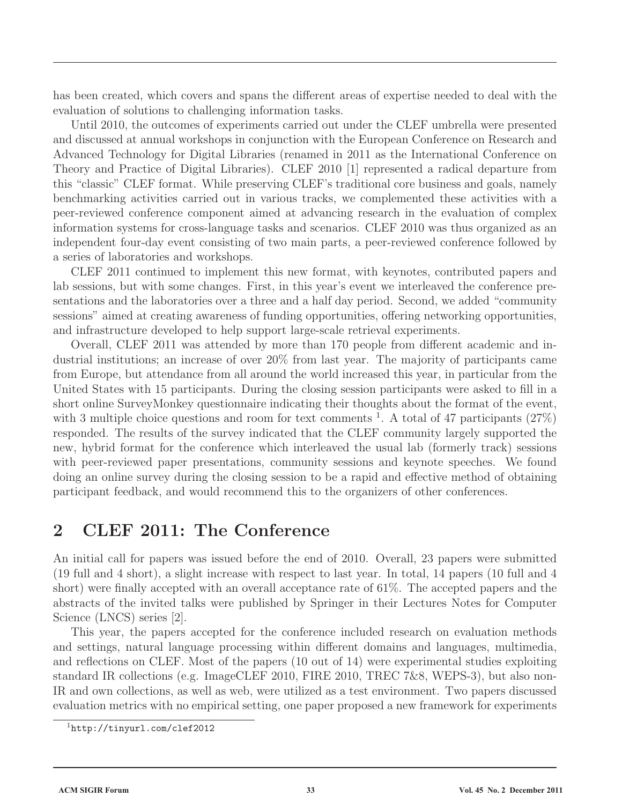has been created, which covers and spans the different areas of expertise needed to deal with the evaluation of solutions to challenging information tasks.

Until 2010, the outcomes of experiments carried out under the CLEF umbrella were presented and discussed at annual workshops in conjunction with the European Conference on Research and Advanced Technology for Digital Libraries (renamed in 2011 as the International Conference on Theory and Practice of Digital Libraries). CLEF 2010 [1] represented a radical departure from this "classic" CLEF format. While preserving CLEF's traditional core business and goals, namely benchmarking activities carried out in various tracks, we complemented these activities with a peer-reviewed conference component aimed at advancing research in the evaluation of complex information systems for cross-language tasks and scenarios. CLEF 2010 was thus organized as an independent four-day event consisting of two main parts, a peer-reviewed conference followed by a series of laboratories and workshops.

CLEF 2011 continued to implement this new format, with keynotes, contributed papers and lab sessions, but with some changes. First, in this year's event we interleaved the conference presentations and the laboratories over a three and a half day period. Second, we added "community sessions" aimed at creating awareness of funding opportunities, offering networking opportunities, and infrastructure developed to help support large-scale retrieval experiments.

Overall, CLEF 2011 was attended by more than 170 people from different academic and industrial institutions; an increase of over 20% from last year. The majority of participants came from Europe, but attendance from all around the world increased this year, in particular from the United States with 15 participants. During the closing session participants were asked to fill in a short online SurveyMonkey questionnaire indicating their thoughts about the format of the event, with 3 multiple choice questions and room for text comments  $\frac{1}{1}$ . A total of 47 participants (27%) responded. The results of the survey indicated that the CLEF community largely supported the new, hybrid format for the conference which interleaved the usual lab (formerly track) sessions with peer-reviewed paper presentations, community sessions and keynote speeches. We found doing an online survey during the closing session to be a rapid and effective method of obtaining participant feedback, and would recommend this to the organizers of other conferences.

#### **2 CLEF 2011: The Conference**

An initial call for papers was issued before the end of 2010. Overall, 23 papers were submitted (19 full and 4 short), a slight increase with respect to last year. In total, 14 papers (10 full and 4 short) were finally accepted with an overall acceptance rate of 61%. The accepted papers and the abstracts of the invited talks were published by Springer in their Lectures Notes for Computer Science (LNCS) series [2].

This year, the papers accepted for the conference included research on evaluation methods and settings, natural language processing within different domains and languages, multimedia, and reflections on CLEF. Most of the papers (10 out of 14) were experimental studies exploiting standard IR collections (e.g. ImageCLEF 2010, FIRE 2010, TREC 7&8, WEPS-3), but also non-IR and own collections, as well as web, were utilized as a test environment. Two papers discussed evaluation metrics with no empirical setting, one paper proposed a new framework for experiments

<sup>1</sup>http://tinyurl.com/clef2012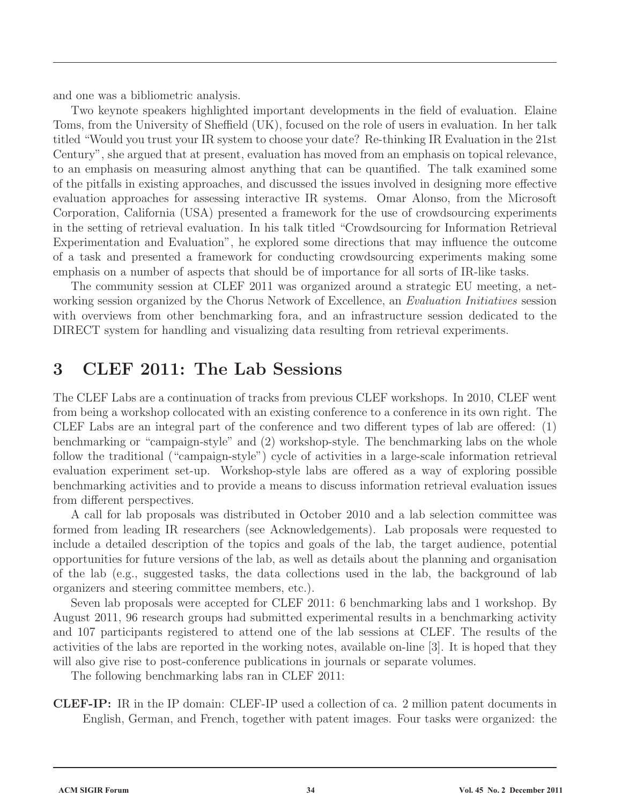and one was a bibliometric analysis.

Two keynote speakers highlighted important developments in the field of evaluation. Elaine Toms, from the University of Sheffield (UK), focused on the role of users in evaluation. In her talk titled "Would you trust your IR system to choose your date? Re-thinking IR Evaluation in the 21st Century", she argued that at present, evaluation has moved from an emphasis on topical relevance, to an emphasis on measuring almost anything that can be quantified. The talk examined some of the pitfalls in existing approaches, and discussed the issues involved in designing more effective evaluation approaches for assessing interactive IR systems. Omar Alonso, from the Microsoft Corporation, California (USA) presented a framework for the use of crowdsourcing experiments in the setting of retrieval evaluation. In his talk titled "Crowdsourcing for Information Retrieval Experimentation and Evaluation", he explored some directions that may influence the outcome of a task and presented a framework for conducting crowdsourcing experiments making some emphasis on a number of aspects that should be of importance for all sorts of IR-like tasks.

The community session at CLEF 2011 was organized around a strategic EU meeting, a networking session organized by the Chorus Network of Excellence, an Evaluation Initiatives session with overviews from other benchmarking fora, and an infrastructure session dedicated to the DIRECT system for handling and visualizing data resulting from retrieval experiments.

#### **3 CLEF 2011: The Lab Sessions**

The CLEF Labs are a continuation of tracks from previous CLEF workshops. In 2010, CLEF went from being a workshop collocated with an existing conference to a conference in its own right. The CLEF Labs are an integral part of the conference and two different types of lab are offered: (1) benchmarking or "campaign-style" and (2) workshop-style. The benchmarking labs on the whole follow the traditional ("campaign-style") cycle of activities in a large-scale information retrieval evaluation experiment set-up. Workshop-style labs are offered as a way of exploring possible benchmarking activities and to provide a means to discuss information retrieval evaluation issues from different perspectives.

A call for lab proposals was distributed in October 2010 and a lab selection committee was formed from leading IR researchers (see Acknowledgements). Lab proposals were requested to include a detailed description of the topics and goals of the lab, the target audience, potential opportunities for future versions of the lab, as well as details about the planning and organisation of the lab (e.g., suggested tasks, the data collections used in the lab, the background of lab organizers and steering committee members, etc.).

Seven lab proposals were accepted for CLEF 2011: 6 benchmarking labs and 1 workshop. By August 2011, 96 research groups had submitted experimental results in a benchmarking activity and 107 participants registered to attend one of the lab sessions at CLEF. The results of the activities of the labs are reported in the working notes, available on-line [3]. It is hoped that they will also give rise to post-conference publications in journals or separate volumes.

The following benchmarking labs ran in CLEF 2011:

**CLEF-IP:** IR in the IP domain: CLEF-IP used a collection of ca. 2 million patent documents in English, German, and French, together with patent images. Four tasks were organized: the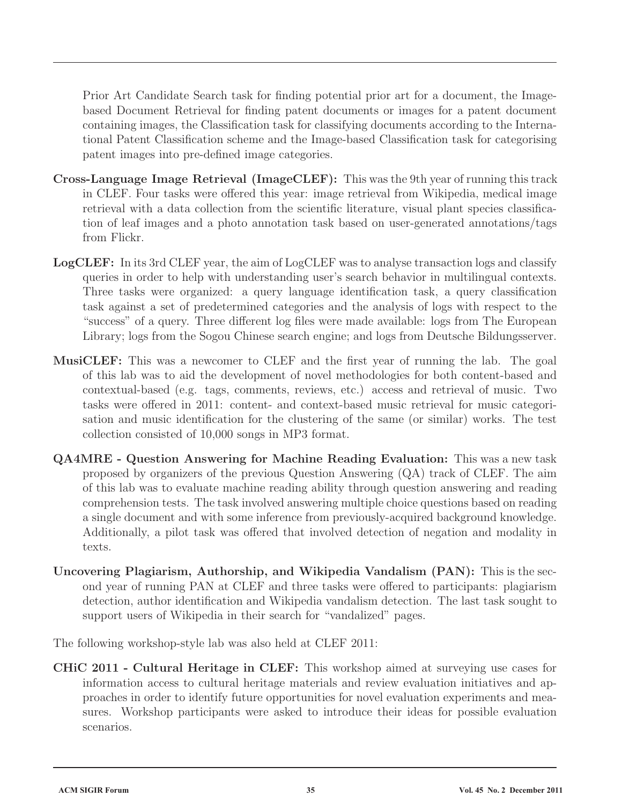Prior Art Candidate Search task for finding potential prior art for a document, the Imagebased Document Retrieval for finding patent documents or images for a patent document containing images, the Classification task for classifying documents according to the International Patent Classification scheme and the Image-based Classification task for categorising patent images into pre-defined image categories.

- **Cross-Language Image Retrieval (ImageCLEF):** This was the 9th year of running this track in CLEF. Four tasks were offered this year: image retrieval from Wikipedia, medical image retrieval with a data collection from the scientific literature, visual plant species classification of leaf images and a photo annotation task based on user-generated annotations/tags from Flickr.
- **LogCLEF:** In its 3rd CLEF year, the aim of LogCLEF was to analyse transaction logs and classify queries in order to help with understanding user's search behavior in multilingual contexts. Three tasks were organized: a query language identification task, a query classification task against a set of predetermined categories and the analysis of logs with respect to the "success" of a query. Three different log files were made available: logs from The European Library; logs from the Sogou Chinese search engine; and logs from Deutsche Bildungsserver.
- **MusiCLEF:** This was a newcomer to CLEF and the first year of running the lab. The goal of this lab was to aid the development of novel methodologies for both content-based and contextual-based (e.g. tags, comments, reviews, etc.) access and retrieval of music. Two tasks were offered in 2011: content- and context-based music retrieval for music categorisation and music identification for the clustering of the same (or similar) works. The test collection consisted of 10,000 songs in MP3 format.
- **QA4MRE Question Answering for Machine Reading Evaluation:** This was a new task proposed by organizers of the previous Question Answering (QA) track of CLEF. The aim of this lab was to evaluate machine reading ability through question answering and reading comprehension tests. The task involved answering multiple choice questions based on reading a single document and with some inference from previously-acquired background knowledge. Additionally, a pilot task was offered that involved detection of negation and modality in texts.
- **Uncovering Plagiarism, Authorship, and Wikipedia Vandalism (PAN):** This is the second year of running PAN at CLEF and three tasks were offered to participants: plagiarism detection, author identification and Wikipedia vandalism detection. The last task sought to support users of Wikipedia in their search for "vandalized" pages.

The following workshop-style lab was also held at CLEF 2011:

**CHiC 2011 - Cultural Heritage in CLEF:** This workshop aimed at surveying use cases for information access to cultural heritage materials and review evaluation initiatives and approaches in order to identify future opportunities for novel evaluation experiments and measures. Workshop participants were asked to introduce their ideas for possible evaluation scenarios.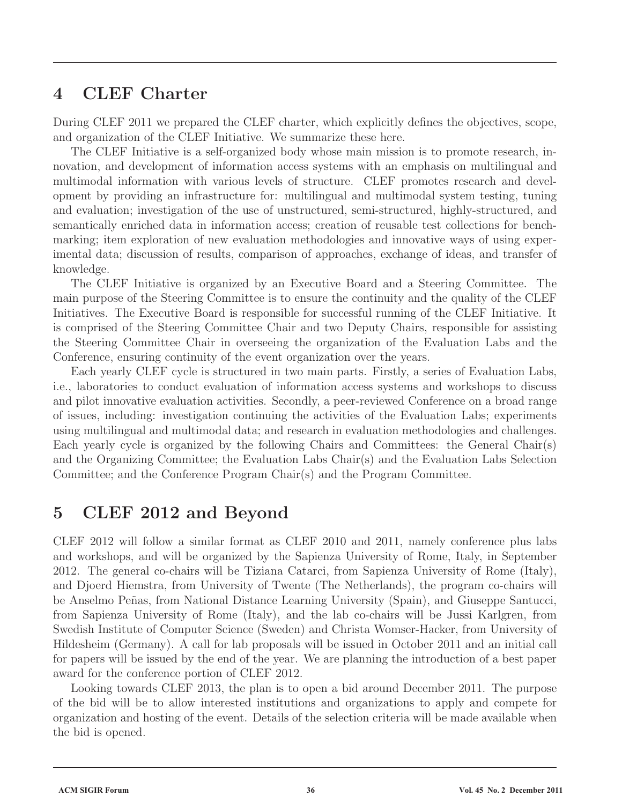#### **4 CLEF Charter**

During CLEF 2011 we prepared the CLEF charter, which explicitly defines the objectives, scope, and organization of the CLEF Initiative. We summarize these here.

The CLEF Initiative is a self-organized body whose main mission is to promote research, innovation, and development of information access systems with an emphasis on multilingual and multimodal information with various levels of structure. CLEF promotes research and development by providing an infrastructure for: multilingual and multimodal system testing, tuning and evaluation; investigation of the use of unstructured, semi-structured, highly-structured, and semantically enriched data in information access; creation of reusable test collections for benchmarking; item exploration of new evaluation methodologies and innovative ways of using experimental data; discussion of results, comparison of approaches, exchange of ideas, and transfer of knowledge.

The CLEF Initiative is organized by an Executive Board and a Steering Committee. The main purpose of the Steering Committee is to ensure the continuity and the quality of the CLEF Initiatives. The Executive Board is responsible for successful running of the CLEF Initiative. It is comprised of the Steering Committee Chair and two Deputy Chairs, responsible for assisting the Steering Committee Chair in overseeing the organization of the Evaluation Labs and the Conference, ensuring continuity of the event organization over the years.

Each yearly CLEF cycle is structured in two main parts. Firstly, a series of Evaluation Labs, i.e., laboratories to conduct evaluation of information access systems and workshops to discuss and pilot innovative evaluation activities. Secondly, a peer-reviewed Conference on a broad range of issues, including: investigation continuing the activities of the Evaluation Labs; experiments using multilingual and multimodal data; and research in evaluation methodologies and challenges. Each yearly cycle is organized by the following Chairs and Committees: the General Chair(s) and the Organizing Committee; the Evaluation Labs Chair(s) and the Evaluation Labs Selection Committee; and the Conference Program Chair(s) and the Program Committee.

### **5 CLEF 2012 and Beyond**

CLEF 2012 will follow a similar format as CLEF 2010 and 2011, namely conference plus labs and workshops, and will be organized by the Sapienza University of Rome, Italy, in September 2012. The general co-chairs will be Tiziana Catarci, from Sapienza University of Rome (Italy), and Djoerd Hiemstra, from University of Twente (The Netherlands), the program co-chairs will be Anselmo Peñas, from National Distance Learning University (Spain), and Giuseppe Santucci, from Sapienza University of Rome (Italy), and the lab co-chairs will be Jussi Karlgren, from Swedish Institute of Computer Science (Sweden) and Christa Womser-Hacker, from University of Hildesheim (Germany). A call for lab proposals will be issued in October 2011 and an initial call for papers will be issued by the end of the year. We are planning the introduction of a best paper award for the conference portion of CLEF 2012.

Looking towards CLEF 2013, the plan is to open a bid around December 2011. The purpose of the bid will be to allow interested institutions and organizations to apply and compete for organization and hosting of the event. Details of the selection criteria will be made available when the bid is opened.